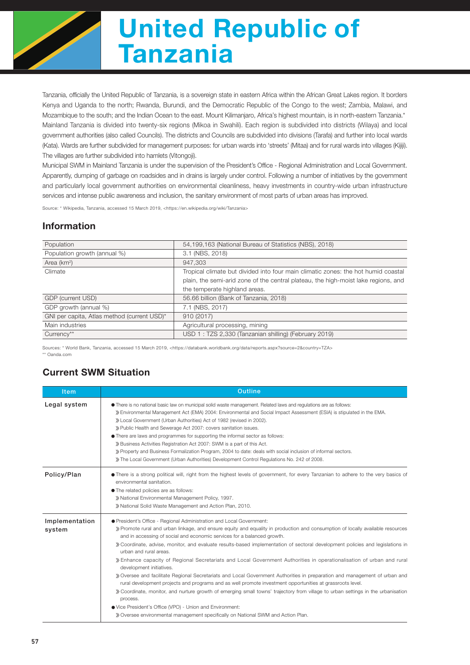

# United Republic of Tanzania

Tanzania, officially the United Republic of Tanzania, is a sovereign state in eastern Africa within the African Great Lakes region. It borders Kenya and Uganda to the north; Rwanda, Burundi, and the Democratic Republic of the Congo to the west; Zambia, Malawi, and Mozambique to the south; and the Indian Ocean to the east. Mount Kilimanjaro, Africa's highest mountain, is in north-eastern Tanzania.\* Mainland Tanzania is divided into twenty-six regions (Mikoa in Swahili). Each region is subdivided into districts (Wilaya) and local government authorities (also called Councils). The districts and Councils are subdivided into divisions (Tarafa) and further into local wards (Kata). Wards are further subdivided for management purposes: for urban wards into 'streets' (Mitaa) and for rural wards into villages (Kijiji). The villages are further subdivided into hamlets (Vitongoji).

Municipal SWM in Mainland Tanzania is under the supervision of the President's Office - Regional Administration and Local Government. Apparently, dumping of garbage on roadsides and in drains is largely under control. Following a number of initiatives by the government and particularly local government authorities on environmental cleanliness, heavy investments in country-wide urban infrastructure services and intense public awareness and inclusion, the sanitary environment of most parts of urban areas has improved.

Source: \* Wikipedia, Tanzania, accessed 15 March 2019, <https://en.wikipedia.org/wiki/Tanzania>

#### Information

| Population                                                          | 54,199,163 (National Bureau of Statistics (NBS), 2018)                             |  |  |  |
|---------------------------------------------------------------------|------------------------------------------------------------------------------------|--|--|--|
| Population growth (annual %)                                        | 3.1 (NBS, 2018)                                                                    |  |  |  |
| Area (km <sup>2</sup> )                                             | 947.303                                                                            |  |  |  |
| Climate                                                             | Tropical climate but divided into four main climatic zones: the hot humid coastal  |  |  |  |
|                                                                     | plain, the semi-arid zone of the central plateau, the high-moist lake regions, and |  |  |  |
|                                                                     | the temperate highland areas.                                                      |  |  |  |
| GDP (current USD)                                                   | 56.66 billion (Bank of Tanzania, 2018)                                             |  |  |  |
| GDP growth (annual %)                                               | 7.1 (NBS, 2017)                                                                    |  |  |  |
| GNI per capita, Atlas method (current USD)*                         | 910 (2017)                                                                         |  |  |  |
| Main industries                                                     | Agricultural processing, mining                                                    |  |  |  |
| USD 1: TZS 2,330 (Tanzanian shilling) (February 2019)<br>Currency** |                                                                                    |  |  |  |

Sources: \* World Bank, Tanzania, accessed 15 March 2019, <https://databank.worldbank.org/data/reports.aspx?source=2&country=TZA> \*\* Oanda.com

## Current SWM Situation

| <b>Item</b>              | Outline                                                                                                                                                                                                                                                                                                                                                                                                                                                                                                                                                                                                                                                                                                                                                                                                                                                                                                                                                                                                                                                                                                                                      |  |  |  |  |
|--------------------------|----------------------------------------------------------------------------------------------------------------------------------------------------------------------------------------------------------------------------------------------------------------------------------------------------------------------------------------------------------------------------------------------------------------------------------------------------------------------------------------------------------------------------------------------------------------------------------------------------------------------------------------------------------------------------------------------------------------------------------------------------------------------------------------------------------------------------------------------------------------------------------------------------------------------------------------------------------------------------------------------------------------------------------------------------------------------------------------------------------------------------------------------|--|--|--|--|
| Legal system             | • There is no national basic law on municipal solid waste management. Related laws and regulations are as follows:<br>» Environmental Management Act (EMA) 2004: Environmental and Social Impact Assessment (ESIA) is stipulated in the EMA.<br>» Local Government (Urban Authorities) Act of 1982 (revised in 2002).<br>» Public Health and Sewerage Act 2007: covers sanitation issues.<br>• There are laws and programmes for supporting the informal sector as follows:<br>» Business Activities Registration Act 2007: SWM is a part of this Act.<br>» Property and Business Formalization Program, 2004 to date: deals with social inclusion of informal sectors.<br>» The Local Government (Urban Authorities) Development Control Regulations No. 242 of 2008.                                                                                                                                                                                                                                                                                                                                                                       |  |  |  |  |
| Policy/Plan              | • There is a strong political will, right from the highest levels of government, for every Tanzanian to adhere to the very basics of<br>environmental sanitation.<br>• The related policies are as follows:<br>» National Environmental Management Policy, 1997.<br>» National Solid Waste Management and Action Plan, 2010.                                                                                                                                                                                                                                                                                                                                                                                                                                                                                                                                                                                                                                                                                                                                                                                                                 |  |  |  |  |
| Implementation<br>system | ● President's Office - Regional Administration and Local Government:<br>» Promote rural and urban linkage, and ensure equity and equality in production and consumption of locally available resources<br>and in accessing of social and economic services for a balanced growth.<br>» Coordinate, advise, monitor, and evaluate results-based implementation of sectoral development policies and legislations in<br>urban and rural areas.<br>» Enhance capacity of Regional Secretariats and Local Government Authorities in operationalisation of urban and rural<br>development initiatives.<br>» Oversee and facilitate Regional Secretariats and Local Government Authorities in preparation and management of urban and<br>rural development projects and programs and as well promote investment opportunities at grassroots level.<br>» Coordinate, monitor, and nurture growth of emerging small towns' trajectory from village to urban settings in the urbanisation<br>process.<br>● Vice President's Office (VPO) - Union and Environment:<br>» Oversee environmental management specifically on National SWM and Action Plan. |  |  |  |  |